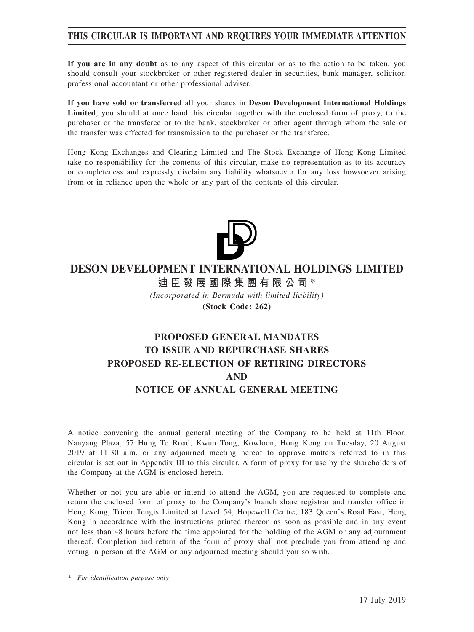# **THIS CIRCULAR IS IMPORTANT AND REQUIRES YOUR IMMEDIATE ATTENTION**

**If you are in any doubt** as to any aspect of this circular or as to the action to be taken, you should consult your stockbroker or other registered dealer in securities, bank manager, solicitor, professional accountant or other professional adviser.

**If you have sold or transferred** all your shares in **Deson Development International Holdings Limited**, you should at once hand this circular together with the enclosed form of proxy, to the purchaser or the transferee or to the bank, stockbroker or other agent through whom the sale or the transfer was effected for transmission to the purchaser or the transferee.

Hong Kong Exchanges and Clearing Limited and The Stock Exchange of Hong Kong Limited take no responsibility for the contents of this circular, make no representation as to its accuracy or completeness and expressly disclaim any liability whatsoever for any loss howsoever arising from or in reliance upon the whole or any part of the contents of this circular.



# **DESON DEVELOPMENT INTERNATIONAL HOLDINGS LIMITED**

**迪臣發展國際集團有限公司** \*

*(Incorporated in Bermuda with limited liability)* **(Stock Code: 262)**

# **PROPOSED GENERAL MANDATES TO ISSUE AND REPURCHASE SHARES PROPOSED RE-ELECTION OF RETIRING DIRECTORS AND NOTICE OF ANNUAL GENERAL MEETING**

A notice convening the annual general meeting of the Company to be held at 11th Floor, Nanyang Plaza, 57 Hung To Road, Kwun Tong, Kowloon, Hong Kong on Tuesday, 20 August 2019 at 11:30 a.m. or any adjourned meeting hereof to approve matters referred to in this circular is set out in Appendix III to this circular. A form of proxy for use by the shareholders of the Company at the AGM is enclosed herein.

Whether or not you are able or intend to attend the AGM, you are requested to complete and return the enclosed form of proxy to the Company's branch share registrar and transfer office in Hong Kong, Tricor Tengis Limited at Level 54, Hopewell Centre, 183 Queen's Road East, Hong Kong in accordance with the instructions printed thereon as soon as possible and in any event not less than 48 hours before the time appointed for the holding of the AGM or any adjournment thereof. Completion and return of the form of proxy shall not preclude you from attending and voting in person at the AGM or any adjourned meeting should you so wish.

*\* For identification purpose only*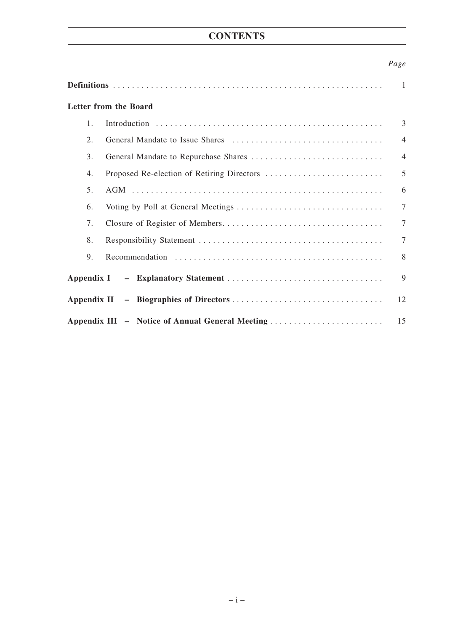# **CONTENTS**

# *Page*

|                |                                                 | 1              |
|----------------|-------------------------------------------------|----------------|
|                | <b>Letter from the Board</b>                    |                |
| $\mathbf{1}$ . |                                                 | 3              |
| 2.             |                                                 | $\overline{4}$ |
| 3.             |                                                 | $\overline{4}$ |
| 4.             |                                                 | 5              |
| 5.             |                                                 | 6              |
| 6.             |                                                 | $\tau$         |
| 7.             |                                                 | $\overline{7}$ |
| 8.             |                                                 | $\tau$         |
| 9.             |                                                 | 8              |
|                |                                                 | 9              |
|                |                                                 | 12             |
|                | Appendix III - Notice of Annual General Meeting | 15             |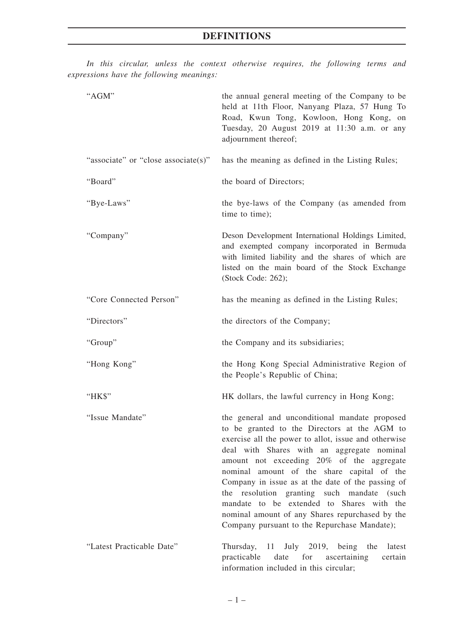*In this circular, unless the context otherwise requires, the following terms and expressions have the following meanings:*

| "AGM"                               | the annual general meeting of the Company to be<br>held at 11th Floor, Nanyang Plaza, 57 Hung To<br>Road, Kwun Tong, Kowloon, Hong Kong, on<br>Tuesday, 20 August 2019 at 11:30 a.m. or any<br>adjournment thereof;                                                                                                                                                                                                                                                                                                                                |  |  |
|-------------------------------------|----------------------------------------------------------------------------------------------------------------------------------------------------------------------------------------------------------------------------------------------------------------------------------------------------------------------------------------------------------------------------------------------------------------------------------------------------------------------------------------------------------------------------------------------------|--|--|
| "associate" or "close associate(s)" | has the meaning as defined in the Listing Rules;                                                                                                                                                                                                                                                                                                                                                                                                                                                                                                   |  |  |
| "Board"                             | the board of Directors;                                                                                                                                                                                                                                                                                                                                                                                                                                                                                                                            |  |  |
| "Bye-Laws"                          | the bye-laws of the Company (as amended from<br>time to time);                                                                                                                                                                                                                                                                                                                                                                                                                                                                                     |  |  |
| "Company"                           | Deson Development International Holdings Limited,<br>and exempted company incorporated in Bermuda<br>with limited liability and the shares of which are<br>listed on the main board of the Stock Exchange<br>(Stock Code: 262);                                                                                                                                                                                                                                                                                                                    |  |  |
| "Core Connected Person"             | has the meaning as defined in the Listing Rules;                                                                                                                                                                                                                                                                                                                                                                                                                                                                                                   |  |  |
| "Directors"                         | the directors of the Company;                                                                                                                                                                                                                                                                                                                                                                                                                                                                                                                      |  |  |
| "Group"                             | the Company and its subsidiaries;                                                                                                                                                                                                                                                                                                                                                                                                                                                                                                                  |  |  |
| "Hong Kong"                         | the Hong Kong Special Administrative Region of<br>the People's Republic of China;                                                                                                                                                                                                                                                                                                                                                                                                                                                                  |  |  |
| "HK\$"                              | HK dollars, the lawful currency in Hong Kong;                                                                                                                                                                                                                                                                                                                                                                                                                                                                                                      |  |  |
| "Issue Mandate"                     | the general and unconditional mandate proposed<br>to be granted to the Directors at the AGM to<br>exercise all the power to allot, issue and otherwise<br>deal with Shares with an aggregate nominal<br>amount not exceeding 20% of the aggregate<br>nominal amount of the share capital of the<br>Company in issue as at the date of the passing of<br>the resolution granting such mandate (such<br>mandate to be extended to Shares with the<br>nominal amount of any Shares repurchased by the<br>Company pursuant to the Repurchase Mandate); |  |  |
| "Latest Practicable Date"           | Thursday,<br>11 July 2019, being<br>the<br>latest<br>practicable<br>date for ascertaining<br>certain<br>information included in this circular;                                                                                                                                                                                                                                                                                                                                                                                                     |  |  |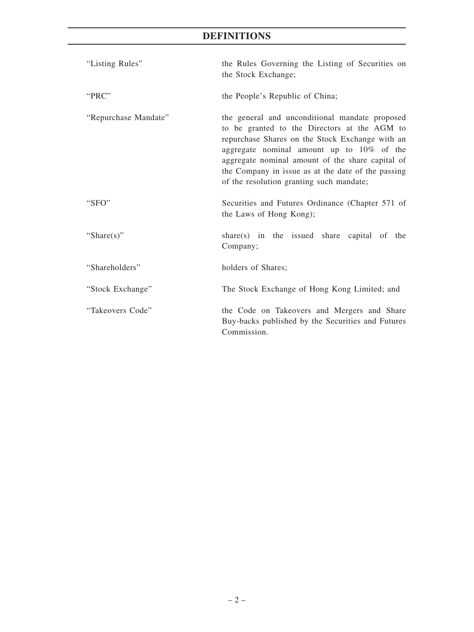# **DEFINITIONS**

| "Listing Rules"      | the Rules Governing the Listing of Securities on<br>the Stock Exchange;                                                                                                                                                                                                                                                                              |  |  |
|----------------------|------------------------------------------------------------------------------------------------------------------------------------------------------------------------------------------------------------------------------------------------------------------------------------------------------------------------------------------------------|--|--|
| "PRC"                | the People's Republic of China;                                                                                                                                                                                                                                                                                                                      |  |  |
| "Repurchase Mandate" | the general and unconditional mandate proposed<br>to be granted to the Directors at the AGM to<br>repurchase Shares on the Stock Exchange with an<br>aggregate nominal amount up to 10% of the<br>aggregate nominal amount of the share capital of<br>the Company in issue as at the date of the passing<br>of the resolution granting such mandate; |  |  |
| "SFO"                | Securities and Futures Ordinance (Chapter 571 of<br>the Laws of Hong Kong);                                                                                                                                                                                                                                                                          |  |  |
| "Share $(s)$ "       | share $(s)$ in the issued share capital of the<br>Company;                                                                                                                                                                                                                                                                                           |  |  |
| "Shareholders"       | holders of Shares;                                                                                                                                                                                                                                                                                                                                   |  |  |
| "Stock Exchange"     | The Stock Exchange of Hong Kong Limited; and                                                                                                                                                                                                                                                                                                         |  |  |
| "Takeovers Code"     | the Code on Takeovers and Mergers and Share<br>Buy-backs published by the Securities and Futures<br>Commission.                                                                                                                                                                                                                                      |  |  |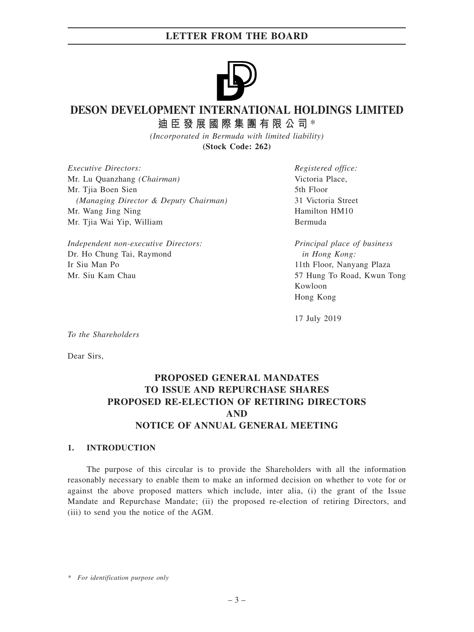

# **DESON DEVELOPMENT INTERNATIONAL HOLDINGS LIMITED**

**迪臣發展國際集團有限公司** \*

*(Incorporated in Bermuda with limited liability)* **(Stock Code: 262)**

*Executive Directors:* Mr. Lu Quanzhang *(Chairman)* Mr. Tiia Boen Sien *(Managing Director & Deputy Chairman)* Mr. Wang Jing Ning Mr. Tjia Wai Yip, William

*Independent non-executive Directors:* Dr. Ho Chung Tai, Raymond Ir Siu Man Po Mr. Siu Kam Chau

*Registered office:* Victoria Place, 5th Floor 31 Victoria Street Hamilton HM10 Bermuda

*Principal place of business in Hong Kong:* 11th Floor, Nanyang Plaza 57 Hung To Road, Kwun Tong Kowloon Hong Kong

17 July 2019

*To the Shareholders*

Dear Sirs,

# **PROPOSED GENERAL MANDATES TO ISSUE AND REPURCHASE SHARES PROPOSED RE-ELECTION OF RETIRING DIRECTORS AND NOTICE OF ANNUAL GENERAL MEETING**

# **1. INTRODUCTION**

The purpose of this circular is to provide the Shareholders with all the information reasonably necessary to enable them to make an informed decision on whether to vote for or against the above proposed matters which include, inter alia, (i) the grant of the Issue Mandate and Repurchase Mandate; (ii) the proposed re-election of retiring Directors, and (iii) to send you the notice of the AGM.

*\* For identification purpose only*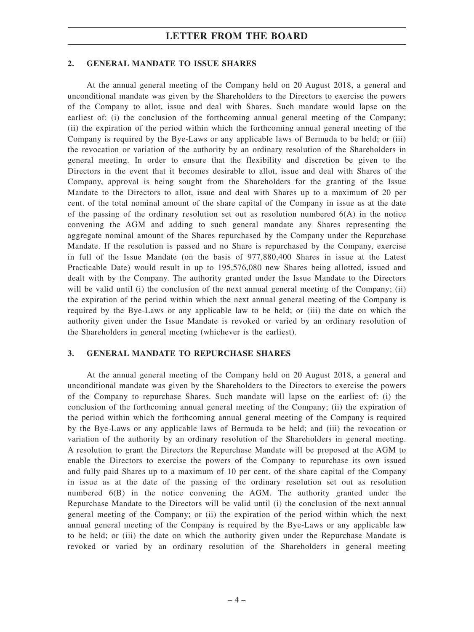### **2. GENERAL MANDATE TO ISSUE SHARES**

At the annual general meeting of the Company held on 20 August 2018, a general and unconditional mandate was given by the Shareholders to the Directors to exercise the powers of the Company to allot, issue and deal with Shares. Such mandate would lapse on the earliest of: (i) the conclusion of the forthcoming annual general meeting of the Company; (ii) the expiration of the period within which the forthcoming annual general meeting of the Company is required by the Bye-Laws or any applicable laws of Bermuda to be held; or (iii) the revocation or variation of the authority by an ordinary resolution of the Shareholders in general meeting. In order to ensure that the flexibility and discretion be given to the Directors in the event that it becomes desirable to allot, issue and deal with Shares of the Company, approval is being sought from the Shareholders for the granting of the Issue Mandate to the Directors to allot, issue and deal with Shares up to a maximum of 20 per cent. of the total nominal amount of the share capital of the Company in issue as at the date of the passing of the ordinary resolution set out as resolution numbered  $6(A)$  in the notice convening the AGM and adding to such general mandate any Shares representing the aggregate nominal amount of the Shares repurchased by the Company under the Repurchase Mandate. If the resolution is passed and no Share is repurchased by the Company, exercise in full of the Issue Mandate (on the basis of 977,880,400 Shares in issue at the Latest Practicable Date) would result in up to 195,576,080 new Shares being allotted, issued and dealt with by the Company. The authority granted under the Issue Mandate to the Directors will be valid until (i) the conclusion of the next annual general meeting of the Company; (ii) the expiration of the period within which the next annual general meeting of the Company is required by the Bye-Laws or any applicable law to be held; or (iii) the date on which the authority given under the Issue Mandate is revoked or varied by an ordinary resolution of the Shareholders in general meeting (whichever is the earliest).

# **3. GENERAL MANDATE TO REPURCHASE SHARES**

At the annual general meeting of the Company held on 20 August 2018, a general and unconditional mandate was given by the Shareholders to the Directors to exercise the powers of the Company to repurchase Shares. Such mandate will lapse on the earliest of: (i) the conclusion of the forthcoming annual general meeting of the Company; (ii) the expiration of the period within which the forthcoming annual general meeting of the Company is required by the Bye-Laws or any applicable laws of Bermuda to be held; and (iii) the revocation or variation of the authority by an ordinary resolution of the Shareholders in general meeting. A resolution to grant the Directors the Repurchase Mandate will be proposed at the AGM to enable the Directors to exercise the powers of the Company to repurchase its own issued and fully paid Shares up to a maximum of 10 per cent. of the share capital of the Company in issue as at the date of the passing of the ordinary resolution set out as resolution numbered 6(B) in the notice convening the AGM. The authority granted under the Repurchase Mandate to the Directors will be valid until (i) the conclusion of the next annual general meeting of the Company; or (ii) the expiration of the period within which the next annual general meeting of the Company is required by the Bye-Laws or any applicable law to be held; or (iii) the date on which the authority given under the Repurchase Mandate is revoked or varied by an ordinary resolution of the Shareholders in general meeting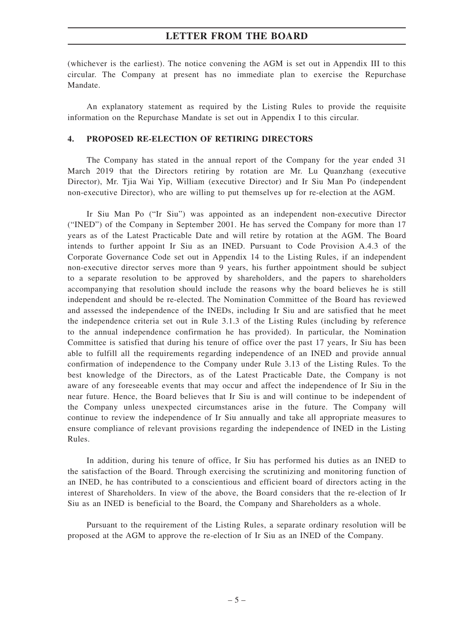(whichever is the earliest). The notice convening the AGM is set out in Appendix III to this circular. The Company at present has no immediate plan to exercise the Repurchase Mandate.

An explanatory statement as required by the Listing Rules to provide the requisite information on the Repurchase Mandate is set out in Appendix I to this circular.

## **4. PROPOSED RE-ELECTION OF RETIRING DIRECTORS**

The Company has stated in the annual report of the Company for the year ended 31 March 2019 that the Directors retiring by rotation are Mr. Lu Quanzhang (executive Director), Mr. Tjia Wai Yip, William (executive Director) and Ir Siu Man Po (independent non-executive Director), who are willing to put themselves up for re-election at the AGM.

Ir Siu Man Po ("Ir Siu") was appointed as an independent non-executive Director ("INED") of the Company in September 2001. He has served the Company for more than 17 years as of the Latest Practicable Date and will retire by rotation at the AGM. The Board intends to further appoint Ir Siu as an INED. Pursuant to Code Provision A.4.3 of the Corporate Governance Code set out in Appendix 14 to the Listing Rules, if an independent non-executive director serves more than 9 years, his further appointment should be subject to a separate resolution to be approved by shareholders, and the papers to shareholders accompanying that resolution should include the reasons why the board believes he is still independent and should be re-elected. The Nomination Committee of the Board has reviewed and assessed the independence of the INEDs, including Ir Siu and are satisfied that he meet the independence criteria set out in Rule 3.1.3 of the Listing Rules (including by reference to the annual independence confirmation he has provided). In particular, the Nomination Committee is satisfied that during his tenure of office over the past 17 years, Ir Siu has been able to fulfill all the requirements regarding independence of an INED and provide annual confirmation of independence to the Company under Rule 3.13 of the Listing Rules. To the best knowledge of the Directors, as of the Latest Practicable Date, the Company is not aware of any foreseeable events that may occur and affect the independence of Ir Siu in the near future. Hence, the Board believes that Ir Siu is and will continue to be independent of the Company unless unexpected circumstances arise in the future. The Company will continue to review the independence of Ir Siu annually and take all appropriate measures to ensure compliance of relevant provisions regarding the independence of INED in the Listing Rules.

In addition, during his tenure of office, Ir Siu has performed his duties as an INED to the satisfaction of the Board. Through exercising the scrutinizing and monitoring function of an INED, he has contributed to a conscientious and efficient board of directors acting in the interest of Shareholders. In view of the above, the Board considers that the re-election of Ir Siu as an INED is beneficial to the Board, the Company and Shareholders as a whole.

Pursuant to the requirement of the Listing Rules, a separate ordinary resolution will be proposed at the AGM to approve the re-election of Ir Siu as an INED of the Company.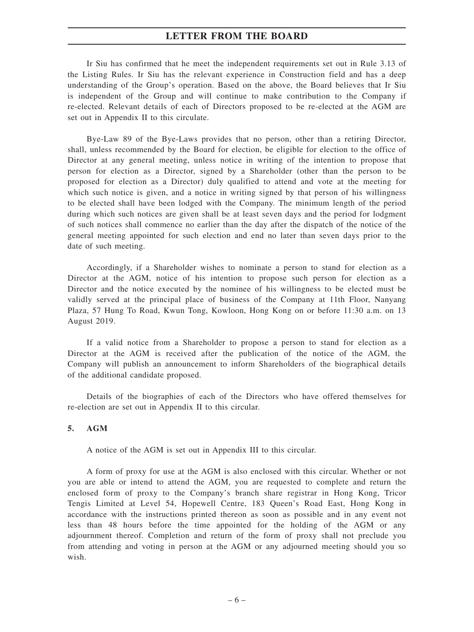Ir Siu has confirmed that he meet the independent requirements set out in Rule 3.13 of the Listing Rules. Ir Siu has the relevant experience in Construction field and has a deep understanding of the Group's operation. Based on the above, the Board believes that Ir Siu is independent of the Group and will continue to make contribution to the Company if re-elected. Relevant details of each of Directors proposed to be re-elected at the AGM are set out in Appendix II to this circulate.

Bye-Law 89 of the Bye-Laws provides that no person, other than a retiring Director, shall, unless recommended by the Board for election, be eligible for election to the office of Director at any general meeting, unless notice in writing of the intention to propose that person for election as a Director, signed by a Shareholder (other than the person to be proposed for election as a Director) duly qualified to attend and vote at the meeting for which such notice is given, and a notice in writing signed by that person of his willingness to be elected shall have been lodged with the Company. The minimum length of the period during which such notices are given shall be at least seven days and the period for lodgment of such notices shall commence no earlier than the day after the dispatch of the notice of the general meeting appointed for such election and end no later than seven days prior to the date of such meeting.

Accordingly, if a Shareholder wishes to nominate a person to stand for election as a Director at the AGM, notice of his intention to propose such person for election as a Director and the notice executed by the nominee of his willingness to be elected must be validly served at the principal place of business of the Company at 11th Floor, Nanyang Plaza, 57 Hung To Road, Kwun Tong, Kowloon, Hong Kong on or before 11:30 a.m. on 13 August 2019.

If a valid notice from a Shareholder to propose a person to stand for election as a Director at the AGM is received after the publication of the notice of the AGM, the Company will publish an announcement to inform Shareholders of the biographical details of the additional candidate proposed.

Details of the biographies of each of the Directors who have offered themselves for re-election are set out in Appendix II to this circular.

### **5. AGM**

A notice of the AGM is set out in Appendix III to this circular.

A form of proxy for use at the AGM is also enclosed with this circular. Whether or not you are able or intend to attend the AGM, you are requested to complete and return the enclosed form of proxy to the Company's branch share registrar in Hong Kong, Tricor Tengis Limited at Level 54, Hopewell Centre, 183 Queen's Road East, Hong Kong in accordance with the instructions printed thereon as soon as possible and in any event not less than 48 hours before the time appointed for the holding of the AGM or any adjournment thereof. Completion and return of the form of proxy shall not preclude you from attending and voting in person at the AGM or any adjourned meeting should you so wish.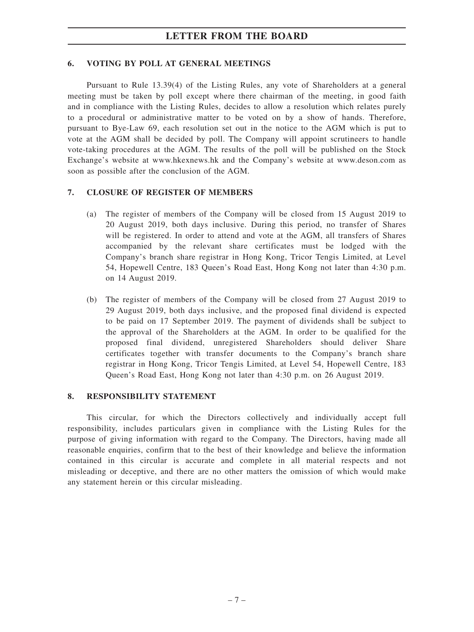# **6. VOTING BY POLL AT GENERAL MEETINGS**

Pursuant to Rule 13.39(4) of the Listing Rules, any vote of Shareholders at a general meeting must be taken by poll except where there chairman of the meeting, in good faith and in compliance with the Listing Rules, decides to allow a resolution which relates purely to a procedural or administrative matter to be voted on by a show of hands. Therefore, pursuant to Bye-Law 69, each resolution set out in the notice to the AGM which is put to vote at the AGM shall be decided by poll. The Company will appoint scrutineers to handle vote-taking procedures at the AGM. The results of the poll will be published on the Stock Exchange's website at www.hkexnews.hk and the Company's website at www.deson.com as soon as possible after the conclusion of the AGM.

## **7. CLOSURE OF REGISTER OF MEMBERS**

- (a) The register of members of the Company will be closed from 15 August 2019 to 20 August 2019, both days inclusive. During this period, no transfer of Shares will be registered. In order to attend and vote at the AGM, all transfers of Shares accompanied by the relevant share certificates must be lodged with the Company's branch share registrar in Hong Kong, Tricor Tengis Limited, at Level 54, Hopewell Centre, 183 Queen's Road East, Hong Kong not later than 4:30 p.m. on 14 August 2019.
- (b) The register of members of the Company will be closed from 27 August 2019 to 29 August 2019, both days inclusive, and the proposed final dividend is expected to be paid on 17 September 2019. The payment of dividends shall be subject to the approval of the Shareholders at the AGM. In order to be qualified for the proposed final dividend, unregistered Shareholders should deliver Share certificates together with transfer documents to the Company's branch share registrar in Hong Kong, Tricor Tengis Limited, at Level 54, Hopewell Centre, 183 Queen's Road East, Hong Kong not later than 4:30 p.m. on 26 August 2019.

### **8. RESPONSIBILITY STATEMENT**

This circular, for which the Directors collectively and individually accept full responsibility, includes particulars given in compliance with the Listing Rules for the purpose of giving information with regard to the Company. The Directors, having made all reasonable enquiries, confirm that to the best of their knowledge and believe the information contained in this circular is accurate and complete in all material respects and not misleading or deceptive, and there are no other matters the omission of which would make any statement herein or this circular misleading.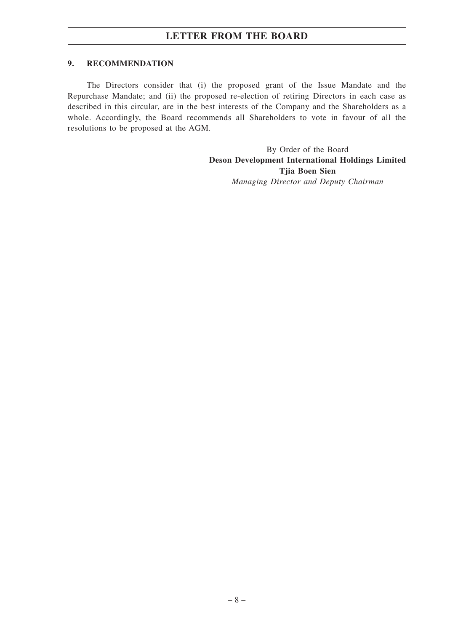## **9. RECOMMENDATION**

The Directors consider that (i) the proposed grant of the Issue Mandate and the Repurchase Mandate; and (ii) the proposed re-election of retiring Directors in each case as described in this circular, are in the best interests of the Company and the Shareholders as a whole. Accordingly, the Board recommends all Shareholders to vote in favour of all the resolutions to be proposed at the AGM.

> By Order of the Board **Deson Development International Holdings Limited Tjia Boen Sien** *Managing Director and Deputy Chairman*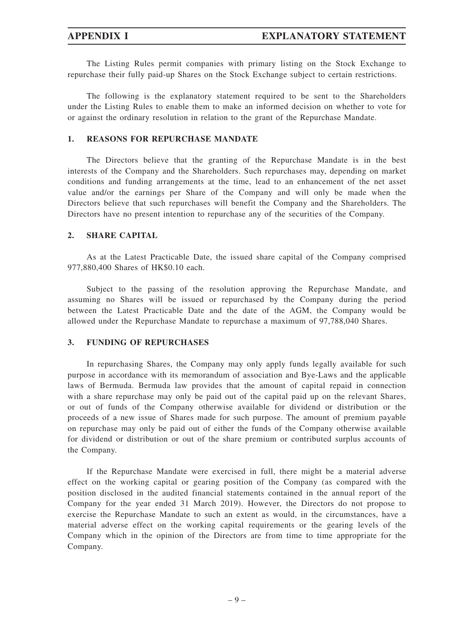The Listing Rules permit companies with primary listing on the Stock Exchange to repurchase their fully paid-up Shares on the Stock Exchange subject to certain restrictions.

The following is the explanatory statement required to be sent to the Shareholders under the Listing Rules to enable them to make an informed decision on whether to vote for or against the ordinary resolution in relation to the grant of the Repurchase Mandate.

## **1. REASONS FOR REPURCHASE MANDATE**

The Directors believe that the granting of the Repurchase Mandate is in the best interests of the Company and the Shareholders. Such repurchases may, depending on market conditions and funding arrangements at the time, lead to an enhancement of the net asset value and/or the earnings per Share of the Company and will only be made when the Directors believe that such repurchases will benefit the Company and the Shareholders. The Directors have no present intention to repurchase any of the securities of the Company.

### **2. SHARE CAPITAL**

As at the Latest Practicable Date, the issued share capital of the Company comprised 977,880,400 Shares of HK\$0.10 each.

Subject to the passing of the resolution approving the Repurchase Mandate, and assuming no Shares will be issued or repurchased by the Company during the period between the Latest Practicable Date and the date of the AGM, the Company would be allowed under the Repurchase Mandate to repurchase a maximum of 97,788,040 Shares.

### **3. FUNDING OF REPURCHASES**

In repurchasing Shares, the Company may only apply funds legally available for such purpose in accordance with its memorandum of association and Bye-Laws and the applicable laws of Bermuda. Bermuda law provides that the amount of capital repaid in connection with a share repurchase may only be paid out of the capital paid up on the relevant Shares, or out of funds of the Company otherwise available for dividend or distribution or the proceeds of a new issue of Shares made for such purpose. The amount of premium payable on repurchase may only be paid out of either the funds of the Company otherwise available for dividend or distribution or out of the share premium or contributed surplus accounts of the Company.

If the Repurchase Mandate were exercised in full, there might be a material adverse effect on the working capital or gearing position of the Company (as compared with the position disclosed in the audited financial statements contained in the annual report of the Company for the year ended 31 March 2019). However, the Directors do not propose to exercise the Repurchase Mandate to such an extent as would, in the circumstances, have a material adverse effect on the working capital requirements or the gearing levels of the Company which in the opinion of the Directors are from time to time appropriate for the Company.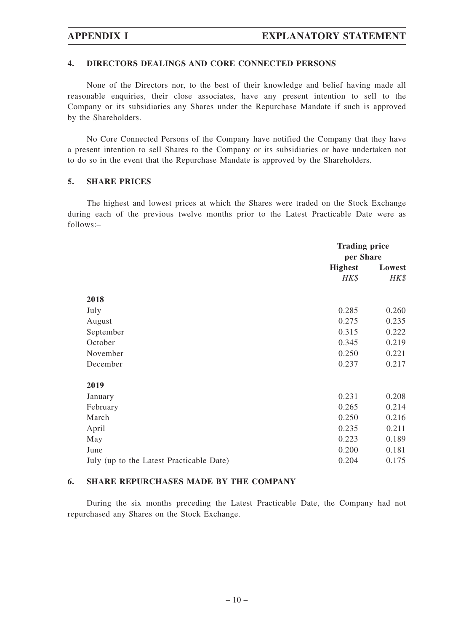## **4. DIRECTORS DEALINGS AND CORE CONNECTED PERSONS**

None of the Directors nor, to the best of their knowledge and belief having made all reasonable enquiries, their close associates, have any present intention to sell to the Company or its subsidiaries any Shares under the Repurchase Mandate if such is approved by the Shareholders.

No Core Connected Persons of the Company have notified the Company that they have a present intention to sell Shares to the Company or its subsidiaries or have undertaken not to do so in the event that the Repurchase Mandate is approved by the Shareholders.

### **5. SHARE PRICES**

The highest and lowest prices at which the Shares were traded on the Stock Exchange during each of the previous twelve months prior to the Latest Practicable Date were as follows:–

|                                          |                | <b>Trading price</b><br>per Share |  |
|------------------------------------------|----------------|-----------------------------------|--|
|                                          | <b>Highest</b> | Lowest                            |  |
|                                          | HK\$           | HK\$                              |  |
| 2018                                     |                |                                   |  |
| July                                     | 0.285          | 0.260                             |  |
| August                                   | 0.275          | 0.235                             |  |
| September                                | 0.315          | 0.222                             |  |
| October                                  | 0.345          | 0.219                             |  |
| November                                 | 0.250          | 0.221                             |  |
| December                                 | 0.237          | 0.217                             |  |
| 2019                                     |                |                                   |  |
| January                                  | 0.231          | 0.208                             |  |
| February                                 | 0.265          | 0.214                             |  |
| March                                    | 0.250          | 0.216                             |  |
| April                                    | 0.235          | 0.211                             |  |
| May                                      | 0.223          | 0.189                             |  |
| June                                     | 0.200          | 0.181                             |  |
| July (up to the Latest Practicable Date) | 0.204          | 0.175                             |  |

## **6. SHARE REPURCHASES MADE BY THE COMPANY**

During the six months preceding the Latest Practicable Date, the Company had not repurchased any Shares on the Stock Exchange.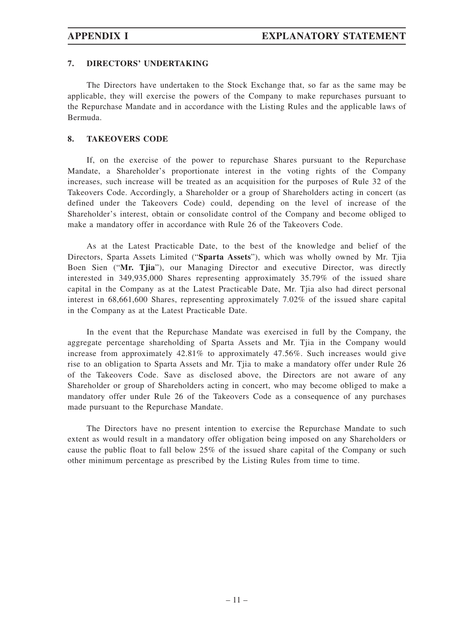# **7. DIRECTORS' UNDERTAKING**

The Directors have undertaken to the Stock Exchange that, so far as the same may be applicable, they will exercise the powers of the Company to make repurchases pursuant to the Repurchase Mandate and in accordance with the Listing Rules and the applicable laws of Bermuda.

## **8. TAKEOVERS CODE**

If, on the exercise of the power to repurchase Shares pursuant to the Repurchase Mandate, a Shareholder's proportionate interest in the voting rights of the Company increases, such increase will be treated as an acquisition for the purposes of Rule 32 of the Takeovers Code. Accordingly, a Shareholder or a group of Shareholders acting in concert (as defined under the Takeovers Code) could, depending on the level of increase of the Shareholder's interest, obtain or consolidate control of the Company and become obliged to make a mandatory offer in accordance with Rule 26 of the Takeovers Code.

As at the Latest Practicable Date, to the best of the knowledge and belief of the Directors, Sparta Assets Limited ("**Sparta Assets**"), which was wholly owned by Mr. Tjia Boen Sien ("**Mr. Tjia**"), our Managing Director and executive Director, was directly interested in 349,935,000 Shares representing approximately 35.79% of the issued share capital in the Company as at the Latest Practicable Date, Mr. Tjia also had direct personal interest in 68,661,600 Shares, representing approximately 7.02% of the issued share capital in the Company as at the Latest Practicable Date.

In the event that the Repurchase Mandate was exercised in full by the Company, the aggregate percentage shareholding of Sparta Assets and Mr. Tjia in the Company would increase from approximately 42.81% to approximately 47.56%. Such increases would give rise to an obligation to Sparta Assets and Mr. Tjia to make a mandatory offer under Rule 26 of the Takeovers Code. Save as disclosed above, the Directors are not aware of any Shareholder or group of Shareholders acting in concert, who may become obliged to make a mandatory offer under Rule 26 of the Takeovers Code as a consequence of any purchases made pursuant to the Repurchase Mandate.

The Directors have no present intention to exercise the Repurchase Mandate to such extent as would result in a mandatory offer obligation being imposed on any Shareholders or cause the public float to fall below 25% of the issued share capital of the Company or such other minimum percentage as prescribed by the Listing Rules from time to time.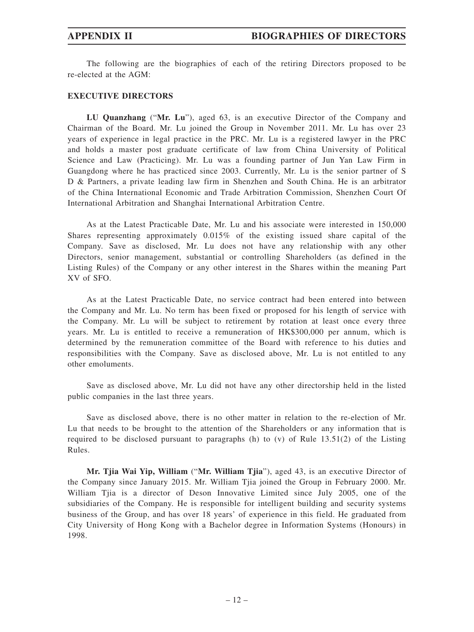The following are the biographies of each of the retiring Directors proposed to be re-elected at the AGM:

### **EXECUTIVE DIRECTORS**

**LU Quanzhang** ("**Mr. Lu**"), aged 63, is an executive Director of the Company and Chairman of the Board. Mr. Lu joined the Group in November 2011. Mr. Lu has over 23 years of experience in legal practice in the PRC. Mr. Lu is a registered lawyer in the PRC and holds a master post graduate certificate of law from China University of Political Science and Law (Practicing). Mr. Lu was a founding partner of Jun Yan Law Firm in Guangdong where he has practiced since 2003. Currently, Mr. Lu is the senior partner of S D & Partners, a private leading law firm in Shenzhen and South China. He is an arbitrator of the China International Economic and Trade Arbitration Commission, Shenzhen Court Of International Arbitration and Shanghai International Arbitration Centre.

As at the Latest Practicable Date, Mr. Lu and his associate were interested in 150,000 Shares representing approximately 0.015% of the existing issued share capital of the Company. Save as disclosed, Mr. Lu does not have any relationship with any other Directors, senior management, substantial or controlling Shareholders (as defined in the Listing Rules) of the Company or any other interest in the Shares within the meaning Part XV of SFO.

As at the Latest Practicable Date, no service contract had been entered into between the Company and Mr. Lu. No term has been fixed or proposed for his length of service with the Company. Mr. Lu will be subject to retirement by rotation at least once every three years. Mr. Lu is entitled to receive a remuneration of HK\$300,000 per annum, which is determined by the remuneration committee of the Board with reference to his duties and responsibilities with the Company. Save as disclosed above, Mr. Lu is not entitled to any other emoluments.

Save as disclosed above, Mr. Lu did not have any other directorship held in the listed public companies in the last three years.

Save as disclosed above, there is no other matter in relation to the re-election of Mr. Lu that needs to be brought to the attention of the Shareholders or any information that is required to be disclosed pursuant to paragraphs (h) to (v) of Rule 13.51(2) of the Listing Rules.

**Mr. Tjia Wai Yip, William** ("**Mr. William Tjia**"), aged 43, is an executive Director of the Company since January 2015. Mr. William Tjia joined the Group in February 2000. Mr. William Tjia is a director of Deson Innovative Limited since July 2005, one of the subsidiaries of the Company. He is responsible for intelligent building and security systems business of the Group, and has over 18 years' of experience in this field. He graduated from City University of Hong Kong with a Bachelor degree in Information Systems (Honours) in 1998.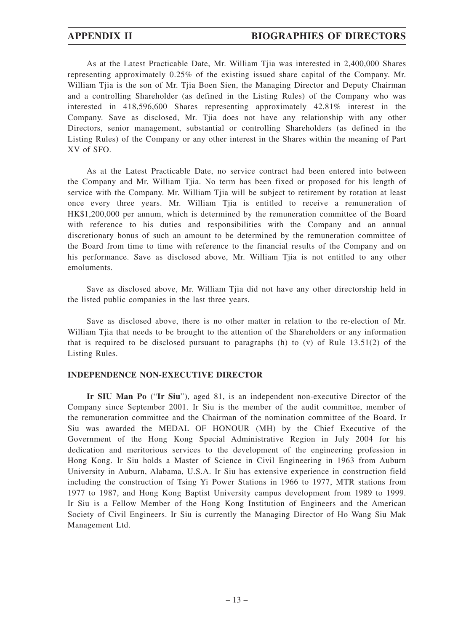As at the Latest Practicable Date, Mr. William Tjia was interested in 2,400,000 Shares representing approximately 0.25% of the existing issued share capital of the Company. Mr. William Tjia is the son of Mr. Tjia Boen Sien, the Managing Director and Deputy Chairman and a controlling Shareholder (as defined in the Listing Rules) of the Company who was interested in 418,596,600 Shares representing approximately 42.81% interest in the Company. Save as disclosed, Mr. Tjia does not have any relationship with any other Directors, senior management, substantial or controlling Shareholders (as defined in the Listing Rules) of the Company or any other interest in the Shares within the meaning of Part XV of SFO.

As at the Latest Practicable Date, no service contract had been entered into between the Company and Mr. William Tjia. No term has been fixed or proposed for his length of service with the Company. Mr. William Tjia will be subject to retirement by rotation at least once every three years. Mr. William Tjia is entitled to receive a remuneration of HK\$1,200,000 per annum, which is determined by the remuneration committee of the Board with reference to his duties and responsibilities with the Company and an annual discretionary bonus of such an amount to be determined by the remuneration committee of the Board from time to time with reference to the financial results of the Company and on his performance. Save as disclosed above, Mr. William Tjia is not entitled to any other emoluments.

Save as disclosed above, Mr. William Tjia did not have any other directorship held in the listed public companies in the last three years.

Save as disclosed above, there is no other matter in relation to the re-election of Mr. William Tjia that needs to be brought to the attention of the Shareholders or any information that is required to be disclosed pursuant to paragraphs  $(h)$  to  $(v)$  of Rule 13.51(2) of the Listing Rules.

### **INDEPENDENCE NON-EXECUTIVE DIRECTOR**

**Ir SIU Man Po** ("**Ir Siu**"), aged 81, is an independent non-executive Director of the Company since September 2001. Ir Siu is the member of the audit committee, member of the remuneration committee and the Chairman of the nomination committee of the Board. Ir Siu was awarded the MEDAL OF HONOUR (MH) by the Chief Executive of the Government of the Hong Kong Special Administrative Region in July 2004 for his dedication and meritorious services to the development of the engineering profession in Hong Kong. Ir Siu holds a Master of Science in Civil Engineering in 1963 from Auburn University in Auburn, Alabama, U.S.A. Ir Siu has extensive experience in construction field including the construction of Tsing Yi Power Stations in 1966 to 1977, MTR stations from 1977 to 1987, and Hong Kong Baptist University campus development from 1989 to 1999. Ir Siu is a Fellow Member of the Hong Kong Institution of Engineers and the American Society of Civil Engineers. Ir Siu is currently the Managing Director of Ho Wang Siu Mak Management Ltd.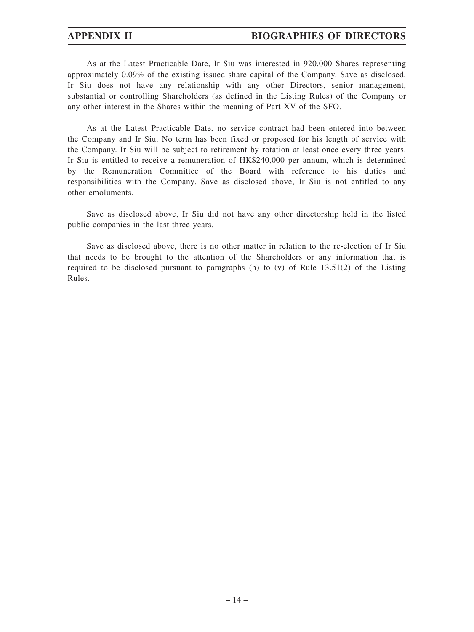As at the Latest Practicable Date, Ir Siu was interested in 920,000 Shares representing approximately 0.09% of the existing issued share capital of the Company. Save as disclosed, Ir Siu does not have any relationship with any other Directors, senior management, substantial or controlling Shareholders (as defined in the Listing Rules) of the Company or any other interest in the Shares within the meaning of Part XV of the SFO.

As at the Latest Practicable Date, no service contract had been entered into between the Company and Ir Siu. No term has been fixed or proposed for his length of service with the Company. Ir Siu will be subject to retirement by rotation at least once every three years. Ir Siu is entitled to receive a remuneration of HK\$240,000 per annum, which is determined by the Remuneration Committee of the Board with reference to his duties and responsibilities with the Company. Save as disclosed above, Ir Siu is not entitled to any other emoluments.

Save as disclosed above, Ir Siu did not have any other directorship held in the listed public companies in the last three years.

Save as disclosed above, there is no other matter in relation to the re-election of Ir Siu that needs to be brought to the attention of the Shareholders or any information that is required to be disclosed pursuant to paragraphs (h) to  $(v)$  of Rule 13.51(2) of the Listing Rules.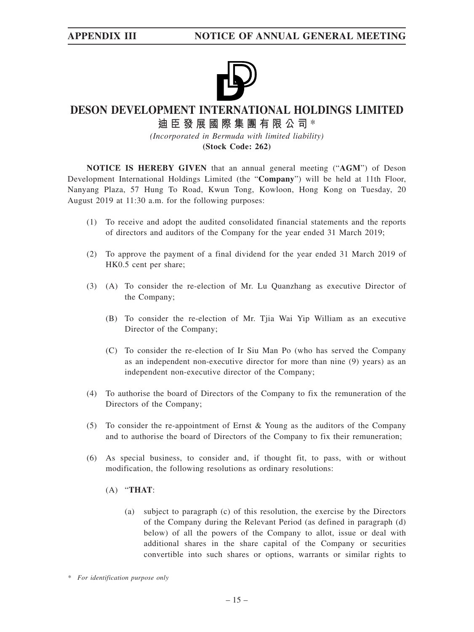

# **DESON DEVELOPMENT INTERNATIONAL HOLDINGS LIMITED**

# **迪臣發展國際集團有限公司** \*

*(Incorporated in Bermuda with limited liability)* **(Stock Code: 262)**

**NOTICE IS HEREBY GIVEN** that an annual general meeting ("**AGM**") of Deson Development International Holdings Limited (the "**Company**") will be held at 11th Floor, Nanyang Plaza, 57 Hung To Road, Kwun Tong, Kowloon, Hong Kong on Tuesday, 20 August 2019 at 11:30 a.m. for the following purposes:

- (1) To receive and adopt the audited consolidated financial statements and the reports of directors and auditors of the Company for the year ended 31 March 2019;
- (2) To approve the payment of a final dividend for the year ended 31 March 2019 of HK0.5 cent per share;
- (3) (A) To consider the re-election of Mr. Lu Quanzhang as executive Director of the Company;
	- (B) To consider the re-election of Mr. Tjia Wai Yip William as an executive Director of the Company;
	- (C) To consider the re-election of Ir Siu Man Po (who has served the Company as an independent non-executive director for more than nine (9) years) as an independent non-executive director of the Company;
- (4) To authorise the board of Directors of the Company to fix the remuneration of the Directors of the Company;
- (5) To consider the re-appointment of Ernst & Young as the auditors of the Company and to authorise the board of Directors of the Company to fix their remuneration;
- (6) As special business, to consider and, if thought fit, to pass, with or without modification, the following resolutions as ordinary resolutions:
	- (A) "**THAT**:
		- (a) subject to paragraph (c) of this resolution, the exercise by the Directors of the Company during the Relevant Period (as defined in paragraph (d) below) of all the powers of the Company to allot, issue or deal with additional shares in the share capital of the Company or securities convertible into such shares or options, warrants or similar rights to

*<sup>\*</sup> For identification purpose only*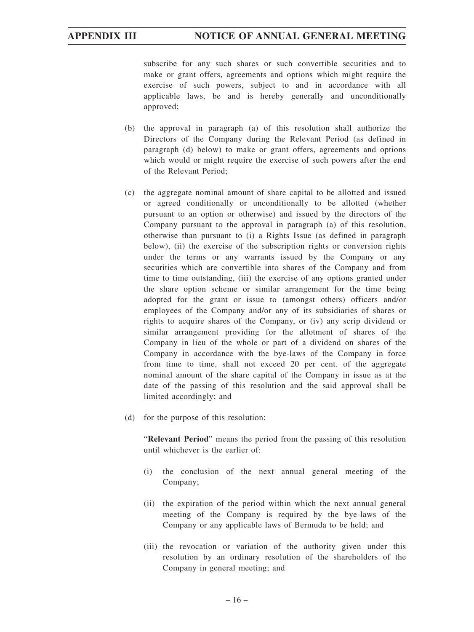subscribe for any such shares or such convertible securities and to make or grant offers, agreements and options which might require the exercise of such powers, subject to and in accordance with all applicable laws, be and is hereby generally and unconditionally approved;

- (b) the approval in paragraph (a) of this resolution shall authorize the Directors of the Company during the Relevant Period (as defined in paragraph (d) below) to make or grant offers, agreements and options which would or might require the exercise of such powers after the end of the Relevant Period;
- (c) the aggregate nominal amount of share capital to be allotted and issued or agreed conditionally or unconditionally to be allotted (whether pursuant to an option or otherwise) and issued by the directors of the Company pursuant to the approval in paragraph (a) of this resolution, otherwise than pursuant to (i) a Rights Issue (as defined in paragraph below), (ii) the exercise of the subscription rights or conversion rights under the terms or any warrants issued by the Company or any securities which are convertible into shares of the Company and from time to time outstanding, (iii) the exercise of any options granted under the share option scheme or similar arrangement for the time being adopted for the grant or issue to (amongst others) officers and/or employees of the Company and/or any of its subsidiaries of shares or rights to acquire shares of the Company, or (iv) any scrip dividend or similar arrangement providing for the allotment of shares of the Company in lieu of the whole or part of a dividend on shares of the Company in accordance with the bye-laws of the Company in force from time to time, shall not exceed 20 per cent. of the aggregate nominal amount of the share capital of the Company in issue as at the date of the passing of this resolution and the said approval shall be limited accordingly; and
- (d) for the purpose of this resolution:

"**Relevant Period**" means the period from the passing of this resolution until whichever is the earlier of:

- (i) the conclusion of the next annual general meeting of the Company;
- (ii) the expiration of the period within which the next annual general meeting of the Company is required by the bye-laws of the Company or any applicable laws of Bermuda to be held; and
- (iii) the revocation or variation of the authority given under this resolution by an ordinary resolution of the shareholders of the Company in general meeting; and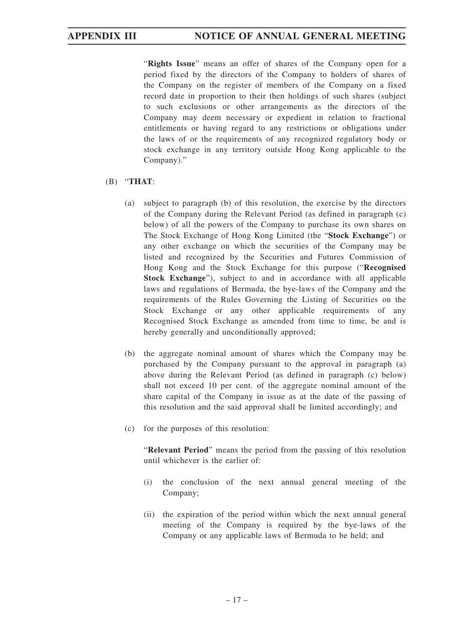"**Rights Issue**" means an offer of shares of the Company open for a period fixed by the directors of the Company to holders of shares of the Company on the register of members of the Company on a fixed record date in proportion to their then holdings of such shares (subject to such exclusions or other arrangements as the directors of the Company may deem necessary or expedient in relation to fractional entitlements or having regard to any restrictions or obligations under the laws of or the requirements of any recognized regulatory body or stock exchange in any territory outside Hong Kong applicable to the Company)."

# (B) "**THAT**:

- (a) subject to paragraph (b) of this resolution, the exercise by the directors of the Company during the Relevant Period (as defined in paragraph (c) below) of all the powers of the Company to purchase its own shares on The Stock Exchange of Hong Kong Limited (the "**Stock Exchange**") or any other exchange on which the securities of the Company may be listed and recognized by the Securities and Futures Commission of Hong Kong and the Stock Exchange for this purpose ("**Recognised Stock Exchange**"), subject to and in accordance with all applicable laws and regulations of Bermuda, the bye-laws of the Company and the requirements of the Rules Governing the Listing of Securities on the Stock Exchange or any other applicable requirements of any Recognised Stock Exchange as amended from time to time, be and is hereby generally and unconditionally approved;
- (b) the aggregate nominal amount of shares which the Company may be purchased by the Company pursuant to the approval in paragraph (a) above during the Relevant Period (as defined in paragraph (c) below) shall not exceed 10 per cent. of the aggregate nominal amount of the share capital of the Company in issue as at the date of the passing of this resolution and the said approval shall be limited accordingly; and
- (c) for the purposes of this resolution:

"**Relevant Period**" means the period from the passing of this resolution until whichever is the earlier of:

- (i) the conclusion of the next annual general meeting of the Company;
- (ii) the expiration of the period within which the next annual general meeting of the Company is required by the bye-laws of the Company or any applicable laws of Bermuda to be held; and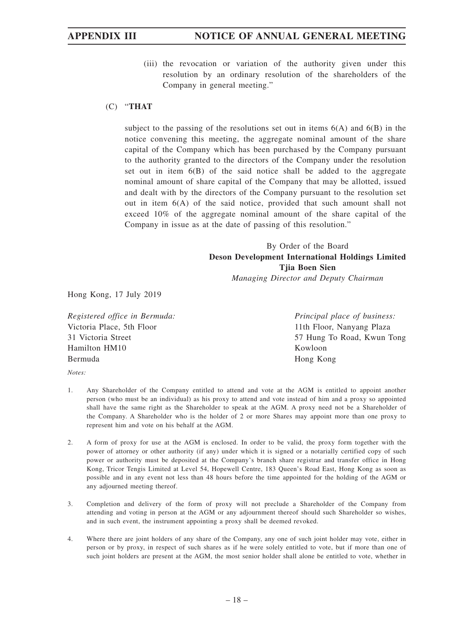(iii) the revocation or variation of the authority given under this resolution by an ordinary resolution of the shareholders of the Company in general meeting."

## (C) "**THAT**

subject to the passing of the resolutions set out in items  $6(A)$  and  $6(B)$  in the notice convening this meeting, the aggregate nominal amount of the share capital of the Company which has been purchased by the Company pursuant to the authority granted to the directors of the Company under the resolution set out in item 6(B) of the said notice shall be added to the aggregate nominal amount of share capital of the Company that may be allotted, issued and dealt with by the directors of the Company pursuant to the resolution set out in item 6(A) of the said notice, provided that such amount shall not exceed 10% of the aggregate nominal amount of the share capital of the Company in issue as at the date of passing of this resolution."

# By Order of the Board **Deson Development International Holdings Limited Tjia Boen Sien** *Managing Director and Deputy Chairman*

Hong Kong, 17 July 2019

*Registered office in Bermuda:* Victoria Place, 5th Floor 31 Victoria Street Hamilton HM10 Bermuda

*Notes:*

- 1. Any Shareholder of the Company entitled to attend and vote at the AGM is entitled to appoint another person (who must be an individual) as his proxy to attend and vote instead of him and a proxy so appointed shall have the same right as the Shareholder to speak at the AGM. A proxy need not be a Shareholder of the Company. A Shareholder who is the holder of 2 or more Shares may appoint more than one proxy to represent him and vote on his behalf at the AGM.
- 2. A form of proxy for use at the AGM is enclosed. In order to be valid, the proxy form together with the power of attorney or other authority (if any) under which it is signed or a notarially certified copy of such power or authority must be deposited at the Company's branch share registrar and transfer office in Hong Kong, Tricor Tengis Limited at Level 54, Hopewell Centre, 183 Queen's Road East, Hong Kong as soon as possible and in any event not less than 48 hours before the time appointed for the holding of the AGM or any adjourned meeting thereof.
- 3. Completion and delivery of the form of proxy will not preclude a Shareholder of the Company from attending and voting in person at the AGM or any adjournment thereof should such Shareholder so wishes, and in such event, the instrument appointing a proxy shall be deemed revoked.
- 4. Where there are joint holders of any share of the Company, any one of such joint holder may vote, either in person or by proxy, in respect of such shares as if he were solely entitled to vote, but if more than one of such joint holders are present at the AGM, the most senior holder shall alone be entitled to vote, whether in

*Principal place of business:* 11th Floor, Nanyang Plaza 57 Hung To Road, Kwun Tong Kowloon Hong Kong